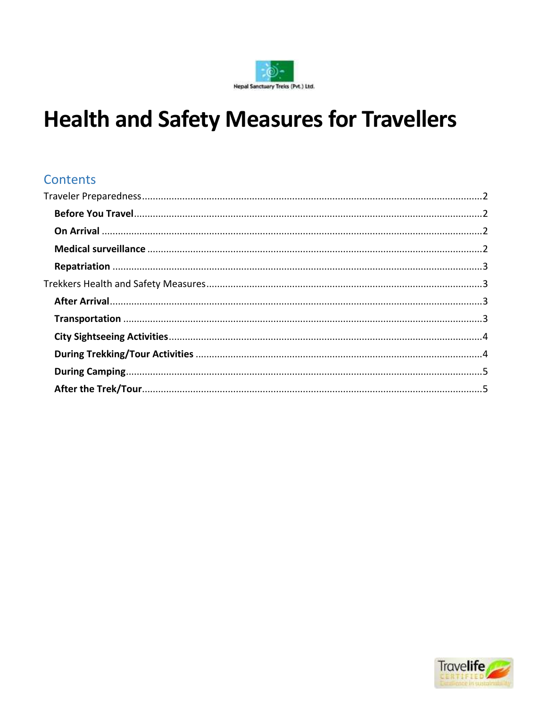

# **Health and Safety Measures for Travellers**

# Contents

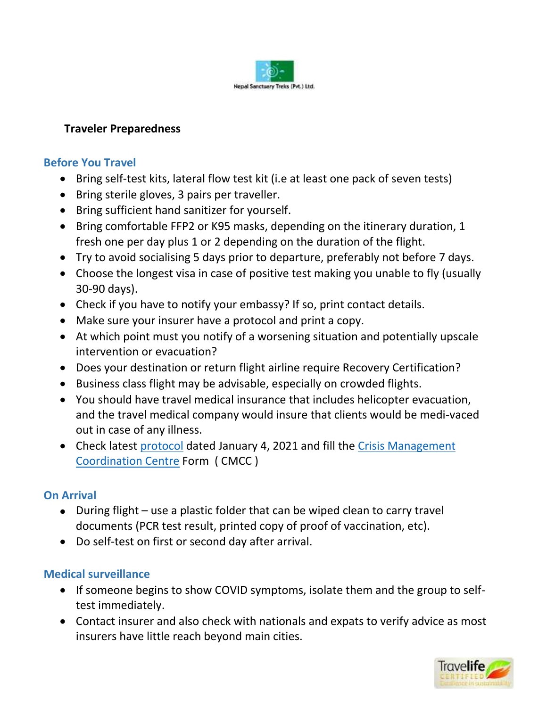

#### <span id="page-1-0"></span>**Traveler Preparedness**

#### <span id="page-1-1"></span>**Before You Travel**

- Bring self-test kits, lateral flow test kit (i.e at least one pack of seven tests)
- Bring sterile gloves, 3 pairs per traveller.
- Bring sufficient hand sanitizer for yourself.
- Bring comfortable FFP2 or K95 masks, depending on the itinerary duration, 1 fresh one per day plus 1 or 2 depending on the duration of the flight.
- Try to avoid socialising 5 days prior to departure, preferably not before 7 days.
- Choose the longest visa in case of positive test making you unable to fly (usually 30-90 days).
- Check if you have to notify your embassy? If so, print contact details.
- Make sure your insurer have a protocol and print a copy.
- At which point must you notify of a worsening situation and potentially upscale intervention or evacuation?
- Does your destination or return flight airline require Recovery Certification?
- Business class flight may be advisable, especially on crowded flights.
- You should have travel medical insurance that includes helicopter evacuation, and the travel medical company would insure that clients would be medi-vaced out in case of any illness.
- Check latest [protocol](https://trade.welcomenepal.com/wp-content/uploads/2022/01/PROTOCOL-Jan-04-for-International-visitors.jpg) dated January 4, 2021 and fill the Crisis Management [Coordination Centre](https://ccmc.gov.np/arms/person_add_en.php) Form ( CMCC )

#### <span id="page-1-2"></span>**On Arrival**

- During flight use a plastic folder that can be wiped clean to carry travel documents (PCR test result, printed copy of proof of vaccination, etc).
- Do self-test on first or second day after arrival.

#### <span id="page-1-3"></span>**Medical surveillance**

- If someone begins to show COVID symptoms, isolate them and the group to selftest immediately.
- Contact insurer and also check with nationals and expats to verify advice as most insurers have little reach beyond main cities.

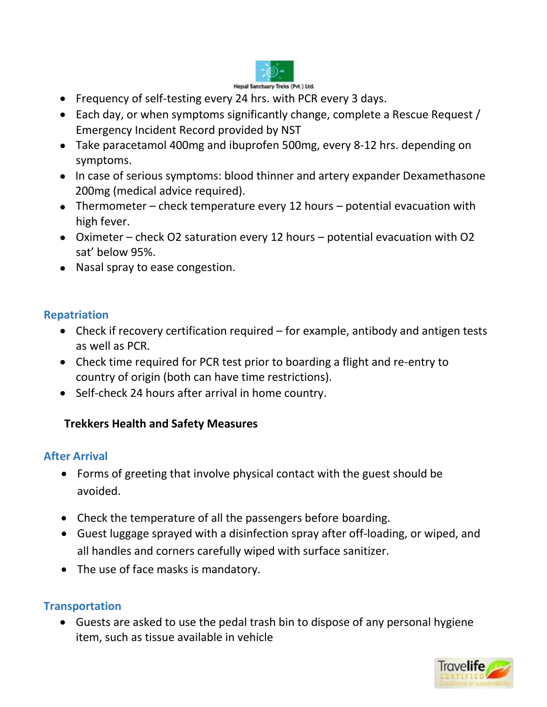

- Frequency of self-testing every 24 hrs. with PCR every 3 days.
- Each day, or when symptoms significantly change, complete a Rescue Request / Emergency Incident Record provided by NST
- Take paracetamol 400mg and ibuprofen 500mg, every 8-12 hrs. depending on symptoms.
- In case of serious symptoms: blood thinner and artery expander Dexamethasone 200mg (medical advice required).
- Thermometer check temperature every 12 hours potential evacuation with high fever.
- Oximeter check O2 saturation every 12 hours potential evacuation with O2 sat' below 95%.
- Nasal spray to ease congestion.

#### <span id="page-2-0"></span>**Repatriation**

- Check if recovery certification required for example, antibody and antigen tests as well as PCR.
- Check time required for PCR test prior to boarding a flight and re-entry to country of origin (both can have time restrictions).
- Self-check 24 hours after arrival in home country.

#### <span id="page-2-1"></span>**Trekkers Health and Safety Measures**

#### <span id="page-2-2"></span>**After Arrival**

- Forms of greeting that involve physical contact with the guest should be avoided.
- Check the temperature of all the passengers before boarding.
- Guest luggage sprayed with a disinfection spray after off-loading, or wiped, and all handles and corners carefully wiped with surface sanitizer.
- The use of face masks is mandatory.

#### <span id="page-2-3"></span>**Transportation**

 Guests are asked to use the pedal trash bin to dispose of any personal hygiene item, such as tissue available in vehicle

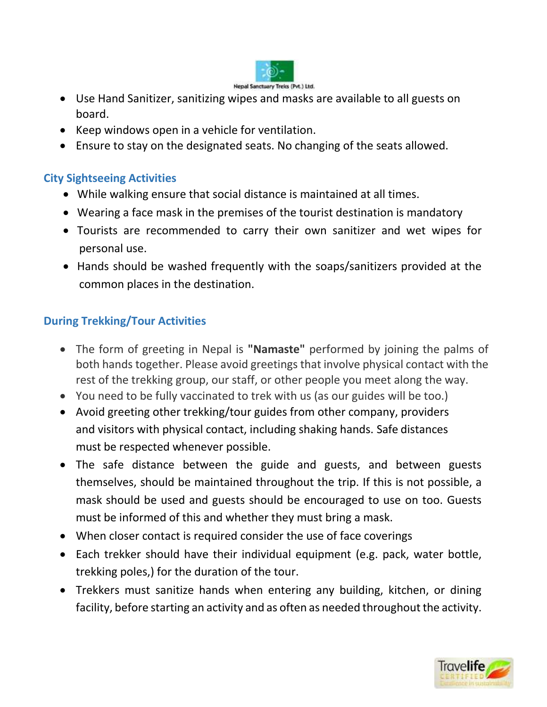

- Use Hand Sanitizer, sanitizing wipes and masks are available to all guests on board.
- Keep windows open in a vehicle for ventilation.
- Ensure to stay on the designated seats. No changing of the seats allowed.

## <span id="page-3-0"></span>**City Sightseeing Activities**

- While walking ensure that social distance is maintained at all times.
- Wearing a face mask in the premises of the tourist destination is mandatory
- Tourists are recommended to carry their own sanitizer and wet wipes for personal use.
- Hands should be washed frequently with the soaps/sanitizers provided at the common places in the destination.

# <span id="page-3-1"></span>**During Trekking/Tour Activities**

- The form of greeting in Nepal is **"Namaste"** performed by joining the palms of both hands together. Please avoid greetings that involve physical contact with the rest of the trekking group, our staff, or other people you meet along the way.
- You need to be fully vaccinated to trek with us (as our guides will be too.)
- Avoid greeting other trekking/tour guides from other company, providers and visitors with physical contact, including shaking hands. Safe distances must be respected whenever possible.
- The safe distance between the guide and guests, and between guests themselves, should be maintained throughout the trip. If this is not possible, a mask should be used and guests should be encouraged to use on too. Guests must be informed of this and whether they must bring a mask.
- When closer contact is required consider the use of face coverings
- Each trekker should have their individual equipment (e.g. pack, water bottle, trekking poles,) for the duration of the tour.
- Trekkers must sanitize hands when entering any building, kitchen, or dining facility, before starting an activity and as often as needed throughout the activity.